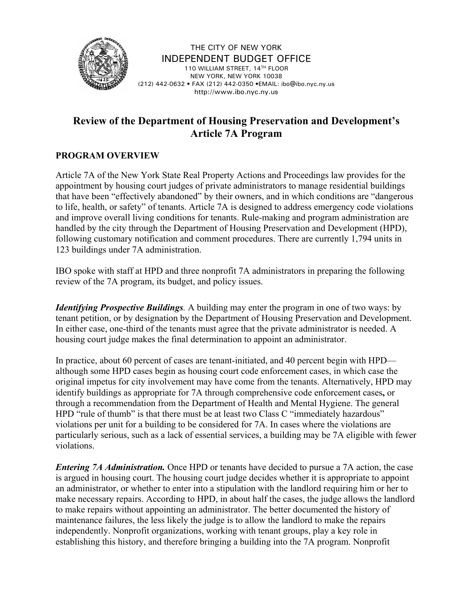

THE CITY OF NEW YORK INDEPENDENT BUDGET OFFICE 110 WILLIAM STREET, 14TH FLOOR NEW YORK, NEW YORK 10038 (212) 442-0632 • FAX (212) 442-0350 •EMAIL: ibo@ibo.nyc.ny.us http://www.ibo.nyc.ny.us

## **Review of the Department of Housing Preservation and Development's Article 7A Program**

## **PROGRAM OVERVIEW**

Article 7A of the New York State Real Property Actions and Proceedings law provides for the appointment by housing court judges of private administrators to manage residential buildings that have been "effectively abandoned" by their owners, and in which conditions are "dangerous to life, health, or safety" of tenants. Article 7A is designed to address emergency code violations and improve overall living conditions for tenants. Rule-making and program administration are handled by the city through the Department of Housing Preservation and Development (HPD), following customary notification and comment procedures. There are currently 1,794 units in 123 buildings under 7A administration.

IBO spoke with staff at HPD and three nonprofit 7A administrators in preparing the following review of the 7A program, its budget, and policy issues.

*Identifying Prospective Buildings.* A building may enter the program in one of two ways: by tenant petition, or by designation by the Department of Housing Preservation and Development. In either case, one-third of the tenants must agree that the private administrator is needed. A housing court judge makes the final determination to appoint an administrator.

In practice, about 60 percent of cases are tenant-initiated, and 40 percent begin with HPD although some HPD cases begin as housing court code enforcement cases, in which case the original impetus for city involvement may have come from the tenants. Alternatively, HPD may identify buildings as appropriate for 7A through comprehensive code enforcement cases**,** or through a recommendation from the Department of Health and Mental Hygiene. The general HPD "rule of thumb" is that there must be at least two Class C "immediately hazardous" violations per unit for a building to be considered for 7A. In cases where the violations are particularly serious, such as a lack of essential services, a building may be 7A eligible with fewer violations.

*Entering 7A Administration.* Once HPD or tenants have decided to pursue a 7A action, the case is argued in housing court. The housing court judge decides whether it is appropriate to appoint an administrator, or whether to enter into a stipulation with the landlord requiring him or her to make necessary repairs. According to HPD, in about half the cases, the judge allows the landlord to make repairs without appointing an administrator. The better documented the history of maintenance failures, the less likely the judge is to allow the landlord to make the repairs independently. Nonprofit organizations, working with tenant groups, play a key role in establishing this history, and therefore bringing a building into the 7A program. Nonprofit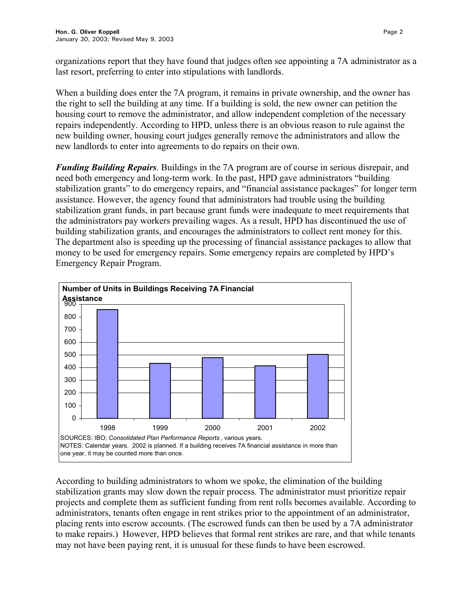organizations report that they have found that judges often see appointing a 7A administrator as a last resort, preferring to enter into stipulations with landlords.

When a building does enter the 7A program, it remains in private ownership, and the owner has the right to sell the building at any time. If a building is sold, the new owner can petition the housing court to remove the administrator, and allow independent completion of the necessary repairs independently. According to HPD, unless there is an obvious reason to rule against the new building owner, housing court judges generally remove the administrators and allow the new landlords to enter into agreements to do repairs on their own.

*Funding Building Repairs*. Buildings in the 7A program are of course in serious disrepair, and need both emergency and long-term work. In the past, HPD gave administrators "building stabilization grants" to do emergency repairs, and "financial assistance packages" for longer term assistance. However, the agency found that administrators had trouble using the building stabilization grant funds, in part because grant funds were inadequate to meet requirements that the administrators pay workers prevailing wages. As a result, HPD has discontinued the use of building stabilization grants, and encourages the administrators to collect rent money for this. The department also is speeding up the processing of financial assistance packages to allow that money to be used for emergency repairs. Some emergency repairs are completed by HPD's Emergency Repair Program.



According to building administrators to whom we spoke, the elimination of the building stabilization grants may slow down the repair process. The administrator must prioritize repair projects and complete them as sufficient funding from rent rolls becomes available. According to administrators, tenants often engage in rent strikes prior to the appointment of an administrator, placing rents into escrow accounts. (The escrowed funds can then be used by a 7A administrator to make repairs.) However, HPD believes that formal rent strikes are rare, and that while tenants may not have been paying rent, it is unusual for these funds to have been escrowed.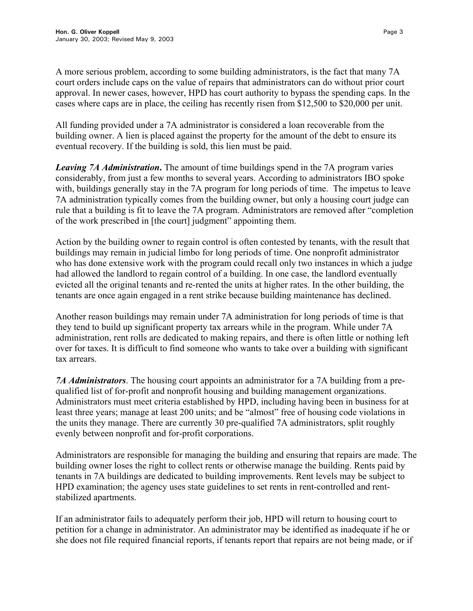A more serious problem, according to some building administrators, is the fact that many 7A court orders include caps on the value of repairs that administrators can do without prior court approval. In newer cases, however, HPD has court authority to bypass the spending caps. In the cases where caps are in place, the ceiling has recently risen from \$12,500 to \$20,000 per unit.

All funding provided under a 7A administrator is considered a loan recoverable from the building owner. A lien is placed against the property for the amount of the debt to ensure its eventual recovery. If the building is sold, this lien must be paid.

*Leaving 7A Administration***.** The amount of time buildings spend in the 7A program varies considerably, from just a few months to several years. According to administrators IBO spoke with, buildings generally stay in the 7A program for long periods of time. The impetus to leave 7A administration typically comes from the building owner, but only a housing court judge can rule that a building is fit to leave the 7A program. Administrators are removed after "completion of the work prescribed in [the court] judgment" appointing them.

Action by the building owner to regain control is often contested by tenants, with the result that buildings may remain in judicial limbo for long periods of time. One nonprofit administrator who has done extensive work with the program could recall only two instances in which a judge had allowed the landlord to regain control of a building. In one case, the landlord eventually evicted all the original tenants and re-rented the units at higher rates. In the other building, the tenants are once again engaged in a rent strike because building maintenance has declined.

Another reason buildings may remain under 7A administration for long periods of time is that they tend to build up significant property tax arrears while in the program. While under 7A administration, rent rolls are dedicated to making repairs, and there is often little or nothing left over for taxes. It is difficult to find someone who wants to take over a building with significant tax arrears.

*7A Administrators*. The housing court appoints an administrator for a 7A building from a prequalified list of for-profit and nonprofit housing and building management organizations. Administrators must meet criteria established by HPD, including having been in business for at least three years; manage at least 200 units; and be "almost" free of housing code violations in the units they manage. There are currently 30 pre-qualified 7A administrators, split roughly evenly between nonprofit and for-profit corporations.

Administrators are responsible for managing the building and ensuring that repairs are made. The building owner loses the right to collect rents or otherwise manage the building. Rents paid by tenants in 7A buildings are dedicated to building improvements. Rent levels may be subject to HPD examination; the agency uses state guidelines to set rents in rent-controlled and rentstabilized apartments.

If an administrator fails to adequately perform their job, HPD will return to housing court to petition for a change in administrator. An administrator may be identified as inadequate if he or she does not file required financial reports, if tenants report that repairs are not being made, or if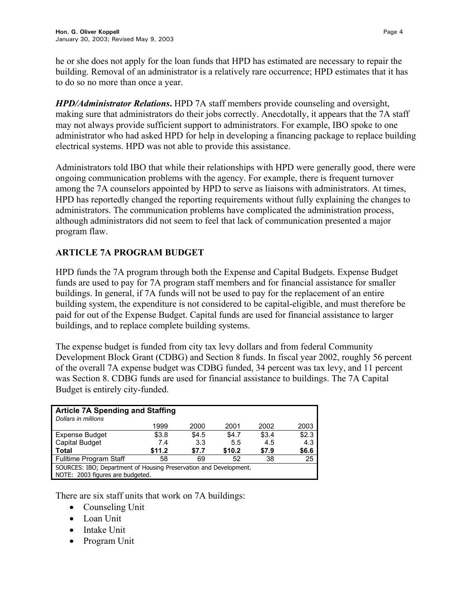*HPD/Administrator Relations***.** HPD 7A staff members provide counseling and oversight, making sure that administrators do their jobs correctly. Anecdotally, it appears that the 7A staff may not always provide sufficient support to administrators. For example, IBO spoke to one administrator who had asked HPD for help in developing a financing package to replace building electrical systems. HPD was not able to provide this assistance.

Administrators told IBO that while their relationships with HPD were generally good, there were ongoing communication problems with the agency. For example, there is frequent turnover among the 7A counselors appointed by HPD to serve as liaisons with administrators. At times, HPD has reportedly changed the reporting requirements without fully explaining the changes to administrators. The communication problems have complicated the administration process, although administrators did not seem to feel that lack of communication presented a major program flaw.

## **ARTICLE 7A PROGRAM BUDGET**

HPD funds the 7A program through both the Expense and Capital Budgets. Expense Budget funds are used to pay for 7A program staff members and for financial assistance for smaller buildings. In general, if 7A funds will not be used to pay for the replacement of an entire building system, the expenditure is not considered to be capital-eligible, and must therefore be paid for out of the Expense Budget. Capital funds are used for financial assistance to larger buildings, and to replace complete building systems.

The expense budget is funded from city tax levy dollars and from federal Community Development Block Grant (CDBG) and Section 8 funds. In fiscal year 2002, roughly 56 percent of the overall 7A expense budget was CDBG funded, 34 percent was tax levy, and 11 percent was Section 8. CDBG funds are used for financial assistance to buildings. The 7A Capital Budget is entirely city-funded.

| <b>Article 7A Spending and Staffing</b><br>Dollars in millions    |        |       |        |       |       |
|-------------------------------------------------------------------|--------|-------|--------|-------|-------|
|                                                                   | 1999   | 2000  | 2001   | 2002  | 2003  |
| <b>Expense Budget</b>                                             | \$3.8  | \$4.5 | \$4.7  | \$3.4 | \$2.3 |
| <b>Capital Budget</b>                                             | 7.4    | 3.3   | 5.5    | 4.5   | 4.3   |
| <b>Total</b>                                                      | \$11.2 | \$7.7 | \$10.2 | \$7.9 | \$6.6 |
| <b>Fulltime Program Staff</b>                                     | 58     | 69    | 52     | 38    | 25    |
| SOURCES: IBO; Department of Housing Preservation and Development. |        |       |        |       |       |
| NOTE: 2003 figures are budgeted.                                  |        |       |        |       |       |

There are six staff units that work on 7A buildings:

- Counseling Unit
- Loan Unit
- Intake Unit
- Program Unit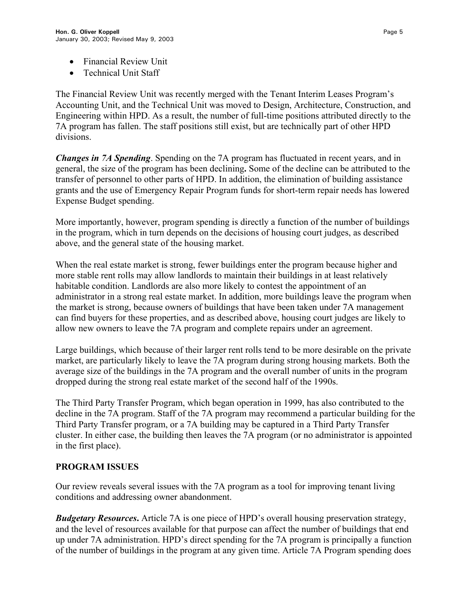- Financial Review Unit
- Technical Unit Staff

The Financial Review Unit was recently merged with the Tenant Interim Leases Program's Accounting Unit, and the Technical Unit was moved to Design, Architecture, Construction, and Engineering within HPD. As a result, the number of full-time positions attributed directly to the 7A program has fallen. The staff positions still exist, but are technically part of other HPD divisions.

*Changes in 7A Spending*. Spending on the 7A program has fluctuated in recent years, and in general, the size of the program has been declining**.** Some of the decline can be attributed to the transfer of personnel to other parts of HPD. In addition, the elimination of building assistance grants and the use of Emergency Repair Program funds for short-term repair needs has lowered Expense Budget spending.

More importantly, however, program spending is directly a function of the number of buildings in the program, which in turn depends on the decisions of housing court judges, as described above, and the general state of the housing market.

When the real estate market is strong, fewer buildings enter the program because higher and more stable rent rolls may allow landlords to maintain their buildings in at least relatively habitable condition. Landlords are also more likely to contest the appointment of an administrator in a strong real estate market. In addition, more buildings leave the program when the market is strong, because owners of buildings that have been taken under 7A management can find buyers for these properties, and as described above, housing court judges are likely to allow new owners to leave the 7A program and complete repairs under an agreement.

Large buildings, which because of their larger rent rolls tend to be more desirable on the private market, are particularly likely to leave the 7A program during strong housing markets. Both the average size of the buildings in the 7A program and the overall number of units in the program dropped during the strong real estate market of the second half of the 1990s.

The Third Party Transfer Program, which began operation in 1999, has also contributed to the decline in the 7A program. Staff of the 7A program may recommend a particular building for the Third Party Transfer program, or a 7A building may be captured in a Third Party Transfer cluster. In either case, the building then leaves the 7A program (or no administrator is appointed in the first place).

## **PROGRAM ISSUES**

Our review reveals several issues with the 7A program as a tool for improving tenant living conditions and addressing owner abandonment.

*Budgetary Resources***.** Article 7A is one piece of HPD's overall housing preservation strategy, and the level of resources available for that purpose can affect the number of buildings that end up under 7A administration. HPD's direct spending for the 7A program is principally a function of the number of buildings in the program at any given time. Article 7A Program spending does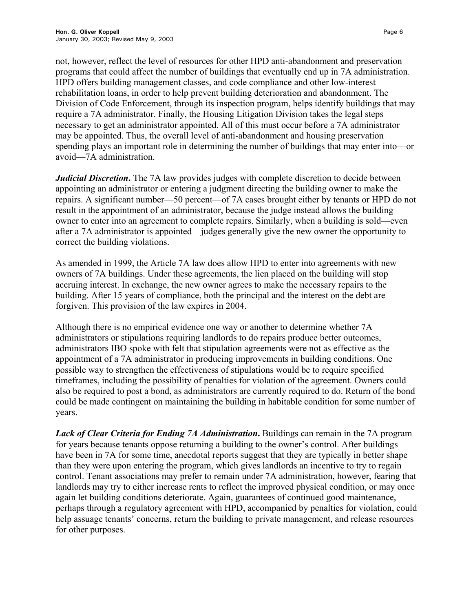not, however, reflect the level of resources for other HPD anti-abandonment and preservation programs that could affect the number of buildings that eventually end up in 7A administration. HPD offers building management classes, and code compliance and other low-interest rehabilitation loans, in order to help prevent building deterioration and abandonment. The Division of Code Enforcement, through its inspection program, helps identify buildings that may require a 7A administrator. Finally, the Housing Litigation Division takes the legal steps necessary to get an administrator appointed. All of this must occur before a 7A administrator may be appointed. Thus, the overall level of anti-abandonment and housing preservation spending plays an important role in determining the number of buildings that may enter into—or avoid—7A administration.

*Judicial Discretion*. The 7A law provides judges with complete discretion to decide between appointing an administrator or entering a judgment directing the building owner to make the repairs. A significant number—50 percent—of 7A cases brought either by tenants or HPD do not result in the appointment of an administrator, because the judge instead allows the building owner to enter into an agreement to complete repairs. Similarly, when a building is sold—even after a 7A administrator is appointed—judges generally give the new owner the opportunity to correct the building violations.

As amended in 1999, the Article 7A law does allow HPD to enter into agreements with new owners of 7A buildings. Under these agreements, the lien placed on the building will stop accruing interest. In exchange, the new owner agrees to make the necessary repairs to the building. After 15 years of compliance, both the principal and the interest on the debt are forgiven. This provision of the law expires in 2004.

Although there is no empirical evidence one way or another to determine whether 7A administrators or stipulations requiring landlords to do repairs produce better outcomes, administrators IBO spoke with felt that stipulation agreements were not as effective as the appointment of a 7A administrator in producing improvements in building conditions. One possible way to strengthen the effectiveness of stipulations would be to require specified timeframes, including the possibility of penalties for violation of the agreement. Owners could also be required to post a bond, as administrators are currently required to do. Return of the bond could be made contingent on maintaining the building in habitable condition for some number of years.

*Lack of Clear Criteria for Ending 7A Administration***.** Buildings can remain in the 7A program for years because tenants oppose returning a building to the owner's control. After buildings have been in 7A for some time, anecdotal reports suggest that they are typically in better shape than they were upon entering the program, which gives landlords an incentive to try to regain control. Tenant associations may prefer to remain under 7A administration, however, fearing that landlords may try to either increase rents to reflect the improved physical condition, or may once again let building conditions deteriorate. Again, guarantees of continued good maintenance, perhaps through a regulatory agreement with HPD, accompanied by penalties for violation, could help assuage tenants' concerns, return the building to private management, and release resources for other purposes.